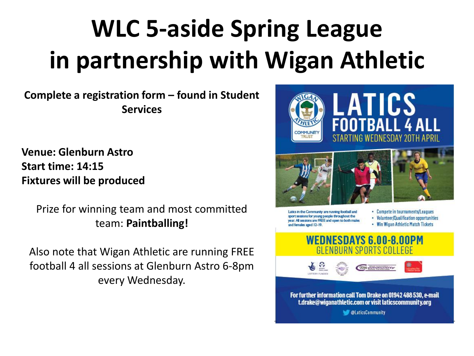# **WLC 5-aside Spring League in partnership with Wigan Athletic**

**Complete a registration form – found in Student Services**

**Venue: Glenburn Astro Start time: 14:15 Fixtures will be produced**

> Prize for winning team and most committed team: **Paintballing!**

Also note that Wigan Athletic are running FREE football 4 all sessions at Glenburn Astro 6-8pm every Wednesday.

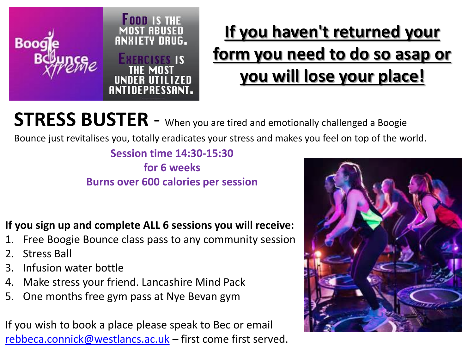

## **If you haven't returned your form you need to do so asap or you will lose your place!**

**STRESS BUSTER** - When you are tired and emotionally challenged a Boogie

Bounce just revitalises you, totally eradicates your stress and makes you feel on top of the world.

**Session time 14:30-15:30 for 6 weeks Burns over 600 calories per session**

#### **If you sign up and complete ALL 6 sessions you will receive:**

- 1. Free Boogie Bounce class pass to any community session
- 2. Stress Ball
- 3. Infusion water bottle
- 4. Make stress your friend. Lancashire Mind Pack
- 5. One months free gym pass at Nye Bevan gym

If you wish to book a place please speak to Bec or email [rebbeca.connick@westlancs.ac.uk](mailto:rebbeca.connick@westlancs.ac.uk) – first come first served.

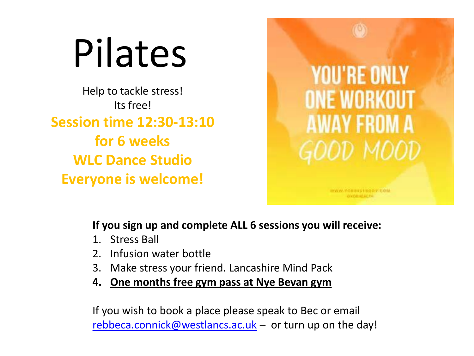# Pilates

Help to tackle stress! Its free! **Session time 12:30-13:10 for 6 weeks WLC Dance Studio Everyone is welcome!**



**If you sign up and complete ALL 6 sessions you will receive:**

- 1. Stress Ball
- 2. Infusion water bottle
- 3. Make stress your friend. Lancashire Mind Pack
- **4. One months free gym pass at Nye Bevan gym**

If you wish to book a place please speak to Bec or email [rebbeca.connick@westlancs.ac.uk](mailto:rebbeca.connick@westlancs.ac.uk) – or turn up on the day!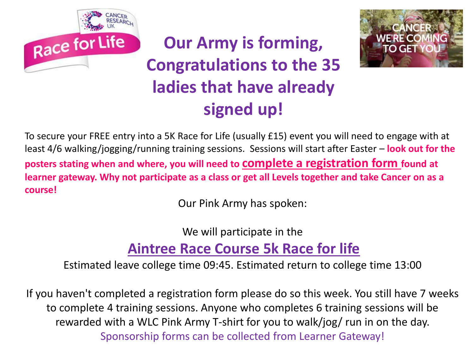

**Our Army is forming, Congratulations to the 35 ladies that have already signed up!** 



To secure your FREE entry into a 5K Race for Life (usually £15) event you will need to engage with at least 4/6 walking/jogging/running training sessions. Sessions will start after Easter – **look out for the posters stating when and where, you will need to complete a registration form found at learner gateway. Why not participate as a class or get all Levels together and take Cancer on as a course!**

Our Pink Army has spoken:

We will participate in the

#### **Aintree Race Course 5k Race for life**

Estimated leave college time 09:45. Estimated return to college time 13:00

If you haven't completed a registration form please do so this week. You still have 7 weeks to complete 4 training sessions. Anyone who completes 6 training sessions will be rewarded with a WLC Pink Army T-shirt for you to walk/jog/ run in on the day. Sponsorship forms can be collected from Learner Gateway!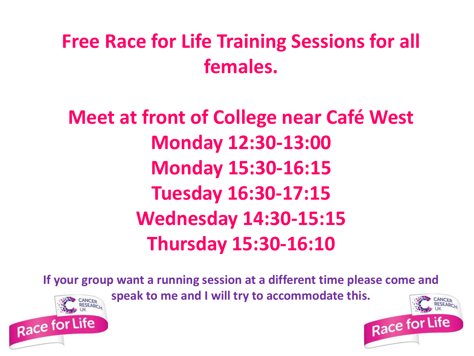## **Free Race for Life Training Sessions for all females.**

**Meet at front of College near Café West Monday 12:30-13:00 Monday 15:30-16:15 Tuesday 16:30-17:15 Wednesday 14:30-15:15 Thursday 15:30-16:10**

**If your group want a running session at a different time please come and speak to me and I will try to accommodate this.**



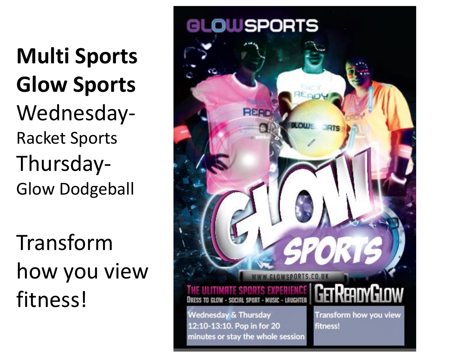**Multi Sports Glow Sports**  Wednesday-Racket Sports Thursday-Glow Dodgeball

Transform how you view fitness!

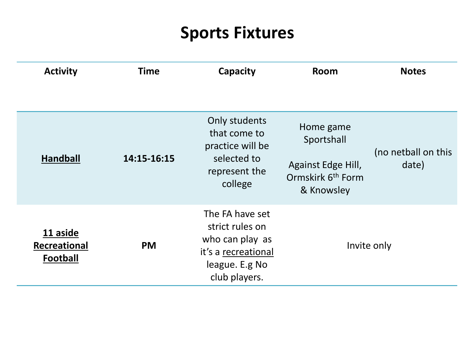### **Sports Fixtures**

| <b>Activity</b>                             | <b>Time</b> | Capacity                                                                                                        | <b>Room</b>                                                                                  | <b>Notes</b>                 |
|---------------------------------------------|-------------|-----------------------------------------------------------------------------------------------------------------|----------------------------------------------------------------------------------------------|------------------------------|
|                                             |             |                                                                                                                 |                                                                                              |                              |
| <b>Handball</b>                             | 14:15-16:15 | Only students<br>that come to<br>practice will be<br>selected to<br>represent the<br>college                    | Home game<br>Sportshall<br>Against Edge Hill,<br>Ormskirk 6 <sup>th</sup> Form<br>& Knowsley | (no netball on this<br>date) |
| 11 aside<br>Recreational<br><b>Football</b> | <b>PM</b>   | The FA have set<br>strict rules on<br>who can play as<br>it's a recreational<br>league. E.g No<br>club players. | Invite only                                                                                  |                              |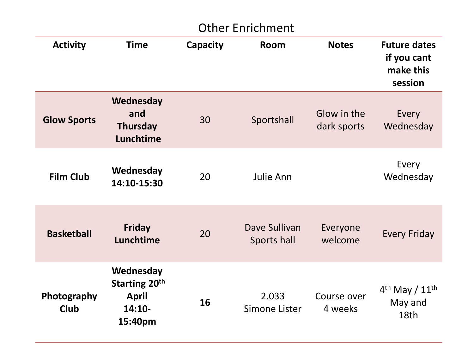| <b>Other Enrichment</b>    |                                                                   |          |                              |                            |                                                            |  |  |
|----------------------------|-------------------------------------------------------------------|----------|------------------------------|----------------------------|------------------------------------------------------------|--|--|
| <b>Activity</b>            | <b>Time</b>                                                       | Capacity | Room                         | <b>Notes</b>               | <b>Future dates</b><br>if you cant<br>make this<br>session |  |  |
| <b>Glow Sports</b>         | Wednesday<br>and<br><b>Thursday</b><br>Lunchtime                  | 30       | Sportshall                   | Glow in the<br>dark sports | Every<br>Wednesday                                         |  |  |
| <b>Film Club</b>           | Wednesday<br>14:10-15:30                                          | 20       | Julie Ann                    |                            | Every<br>Wednesday                                         |  |  |
| <b>Basketball</b>          | <b>Friday</b><br>Lunchtime                                        | 20       | Dave Sullivan<br>Sports hall | Everyone<br>welcome        | <b>Every Friday</b>                                        |  |  |
| Photography<br><b>Club</b> | Wednesday<br>Starting 20th<br><b>April</b><br>$14:10-$<br>15:40pm | 16       | 2.033<br>Simone Lister       | Course over<br>4 weeks     | $4th$ May / $11th$<br>May and<br>18th                      |  |  |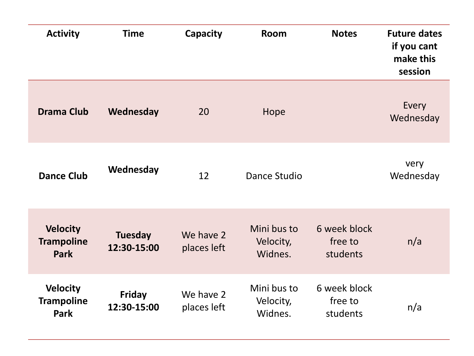| <b>Activity</b>                                     | <b>Time</b>                   | Capacity                 | <b>Room</b>                         | <b>Notes</b>                        | <b>Future dates</b><br>if you cant<br>make this<br>session |
|-----------------------------------------------------|-------------------------------|--------------------------|-------------------------------------|-------------------------------------|------------------------------------------------------------|
| <b>Drama Club</b>                                   | Wednesday                     | 20                       | Hope                                |                                     | Every<br>Wednesday                                         |
| <b>Dance Club</b>                                   | Wednesday                     | 12                       | Dance Studio                        |                                     | very<br>Wednesday                                          |
| <b>Velocity</b><br><b>Trampoline</b><br><b>Park</b> | <b>Tuesday</b><br>12:30-15:00 | We have 2<br>places left | Mini bus to<br>Velocity,<br>Widnes. | 6 week block<br>free to<br>students | n/a                                                        |
| <b>Velocity</b><br><b>Trampoline</b><br><b>Park</b> | <b>Friday</b><br>12:30-15:00  | We have 2<br>places left | Mini bus to<br>Velocity,<br>Widnes. | 6 week block<br>free to<br>students | n/a                                                        |